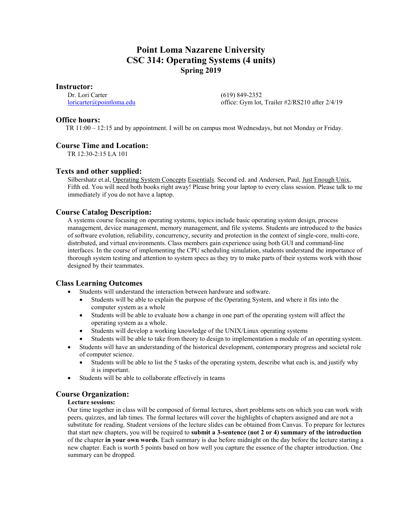# **Point Loma Nazarene University CSC 314: Operating Systems (4 units) Spring 2019**

**Instructor:**

Dr. Lori Carter [loricarter@pointloma.edu](mailto:loricarter@pointloma.edu)  (619) 849-2352 office: Gym lot, Trailer #2/RS210 after 2/4/19

## **Office hours:**

TR 11:00 – 12:15 and by appointment. I will be on campus most Wednesdays, but not Monday or Friday.

# **Course Time and Location:**

TR 12:30-2:15 LA 101

# **Texts and other supplied:**

Silbershatz et.al, Operating System Concepts Essentials. Second ed. and Andersen, Paul, Just Enough Unix, Fifth ed. You will need both books right away! Please bring your laptop to every class session. Please talk to me immediately if you do not have a laptop.

# **Course Catalog Description:**

A systems course focusing on operating systems, topics include basic operating system design, process management, device management, memory management, and file systems. Students are introduced to the basics of software evolution, reliability, concurrency, security and protection in the context of single-core, multi-core, distributed, and virtual environments. Class members gain experience using both GUI and command-line interfaces. In the course of implementing the CPU scheduling simulation, students understand the importance of thorough system testing and attention to system specs as they try to make parts of their systems work with those designed by their teammates.

# **Class Learning Outcomes**

- Students will understand the interaction between hardware and software.
	- Students will be able to explain the purpose of the Operating System, and where it fits into the computer system as a whole
	- Students will be able to evaluate how a change in one part of the operating system will affect the operating system as a whole.
	- Students will develop a working knowledge of the UNIX/Linux operating systems
	- Students will be able to take from theory to design to implementation a module of an operating system.
- Students will have an understanding of the historical development, contemporary progress and societal role of computer science.
	- Students will be able to list the 5 tasks of the operating system, describe what each is, and justify why it is important.
- Students will be able to collaborate effectively in teams

# **Course Organization:**

### **Lecture sessions:**

Our time together in class will be composed of formal lectures, short problems sets on which you can work with peers, quizzes, and lab times. The formal lectures will cover the highlights of chapters assigned and are not a substitute for reading. Student versions of the lecture slides can be obtained from Canvas. To prepare for lectures that start new chapters, you will be required to **submit a 3-sentence (not 2 or 4) summary of the introduction** of the chapter **in your own words**. Each summary is due before midnight on the day before the lecture starting a new chapter. Each is worth 5 points based on how well you capture the essence of the chapter introduction. One summary can be dropped.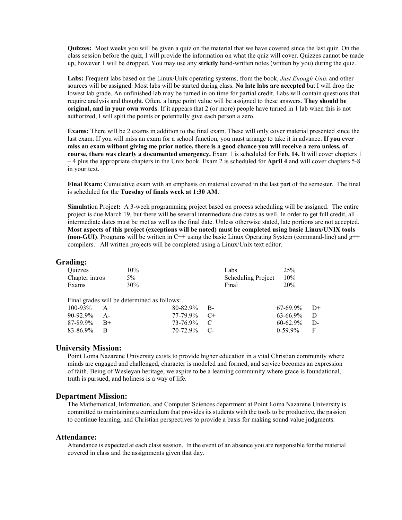**Quizzes:** Most weeks you will be given a quiz on the material that we have covered since the last quiz. On the class session before the quiz, I will provide the information on what the quiz will cover. Quizzes cannot be made up, however 1 will be dropped. You may use any **strictly** hand-written notes (written by you) during the quiz.

**Labs:** Frequent labs based on the Linux/Unix operating systems, from the book, *Just Enough Unix* and other sources will be assigned. Most labs will be started during class. **No late labs are accepted** but I will drop the lowest lab grade. An unfinished lab may be turned in on time for partial credit. Labs will contain questions that require analysis and thought. Often, a large point value will be assigned to these answers. **They should be original, and in your own words**. If it appears that 2 (or more) people have turned in 1 lab when this is not authorized, I will split the points or potentially give each person a zero.

**Exams:** There will be 2 exams in addition to the final exam. These will only cover material presented since the last exam. If you will miss an exam for a school function, you must arrange to take it in advance. **If you ever miss an exam without giving me prior notice, there is a good chance you will receive a zero unless, of course, there was clearly a documented emergency.** Exam 1 is scheduled for **Feb. 14.** It will cover chapters 1 – 4 plus the appropriate chapters in the Unix book. Exam 2 is scheduled for **April 4** and will cover chapters 5-8 in your text.

**Final Exam:** Cumulative exam with an emphasis on material covered in the last part of the semester. The final is scheduled for the **Tuesday of finals week at 1:30 AM**.

**Simulati**on Proje**ct:** A 3-week programming project based on process scheduling will be assigned. The entire project is due March 19, but there will be several intermediate due dates as well. In order to get full credit, all intermediate dates must be met as well as the final date. Unless otherwise stated, late portions are not accepted. **Most aspects of this project (exceptions will be noted) must be completed using basic Linux/UNIX tools (non-GUI)**. Programs will be written in  $C++$  using the basic Linux Operating System (command-line) and  $g++$ compilers.All written projects will be completed using a Linux/Unix text editor.

### **Grading:**

| <b>Ouizzes</b> |       | $10\%$                                      |          |      | Labs                      | 25%           |      |
|----------------|-------|---------------------------------------------|----------|------|---------------------------|---------------|------|
| Chapter intros |       | $5\%$                                       |          |      | <b>Scheduling Project</b> | 10%           |      |
| Exams          |       | 30%                                         |          |      | Final                     | 20%           |      |
|                |       |                                             |          |      |                           |               |      |
|                |       | Final grades will be determined as follows: |          |      |                           |               |      |
| $100 - 93\%$   | A     |                                             | 80-82.9% | B-   |                           | $67-69.9\%$   | $D+$ |
| 90-92.9%       | $A -$ |                                             | 77-79.9% | $C+$ |                           | 63-66.9%      | D    |
| 87-89.9%       | $B+$  |                                             | 73-76.9% | C    |                           | $60 - 62.9\%$ | D-   |
| 83-86.9%       | R     |                                             | 70-72.9% | C-   |                           | $0-59.9%$     | F    |
|                |       |                                             |          |      |                           |               |      |

### **University Mission:**

Point Loma Nazarene University exists to provide higher education in a vital Christian community where minds are engaged and challenged, character is modeled and formed, and service becomes an expression of faith. Being of Wesleyan heritage, we aspire to be a learning community where grace is foundational, truth is pursued, and holiness is a way of life.

#### **Department Mission:**

The Mathematical, Information, and Computer Sciences department at Point Loma Nazarene University is committed to maintaining a curriculum that provides its students with the tools to be productive, the passion to continue learning, and Christian perspectives to provide a basis for making sound value judgments.

#### **Attendance:**

Attendance is expected at each class session. In the event of an absence you are responsible for the material covered in class and the assignments given that day.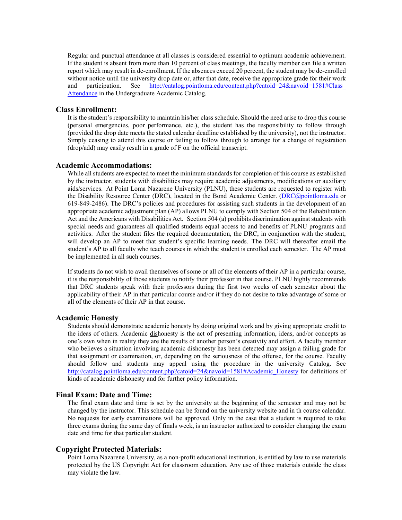Regular and punctual attendance at all classes is considered essential to optimum academic achievement. If the student is absent from more than 10 percent of class meetings, the faculty member can file a written report which may result in de-enrollment. If the absences exceed 20 percent, the student may be de-enrolled without notice until the university drop date or, after that date, receive the appropriate grade for their work and participation. See http://catalog.pointloma.edu/content.php?catoid=24&navoid=1581#Class [Attendance](http://catalog.pointloma.edu/content.php?catoid=24&navoid=1581#Class_Attendance) in the Undergraduate Academic Catalog.

#### **Class Enrollment:**

It is the student's responsibility to maintain his/her class schedule. Should the need arise to drop this course (personal emergencies, poor performance, etc.), the student has the responsibility to follow through (provided the drop date meets the stated calendar deadline established by the university), not the instructor. Simply ceasing to attend this course or failing to follow through to arrange for a change of registration (drop/add) may easily result in a grade of F on the official transcript.

## **Academic Accommodations:**

While all students are expected to meet the minimum standards for completion of this course as established by the instructor, students with disabilities may require academic adjustments, modifications or auxiliary aids/services. At Point Loma Nazarene University (PLNU), these students are requested to register with the Disability Resource Center (DRC), located in the Bond Academic Center. [\(DRC@pointloma.edu](mailto:DRC@pointloma.edu) or 619-849-2486). The DRC's policies and procedures for assisting such students in the development of an appropriate academic adjustment plan (AP) allows PLNU to comply with Section 504 of the Rehabilitation Act and the Americans with Disabilities Act. Section 504 (a) prohibits discrimination against students with special needs and guarantees all qualified students equal access to and benefits of PLNU programs and activities. After the student files the required documentation, the DRC, in conjunction with the student, will develop an AP to meet that student's specific learning needs. The DRC will thereafter email the student's AP to all faculty who teach courses in which the student is enrolled each semester. The AP must be implemented in all such courses.

If students do not wish to avail themselves of some or all of the elements of their AP in a particular course, it is the responsibility of those students to notify their professor in that course. PLNU highly recommends that DRC students speak with their professors during the first two weeks of each semester about the applicability of their AP in that particular course and/or if they do not desire to take advantage of some or all of the elements of their AP in that course.

### **Academic Honesty**

Students should demonstrate academic honesty by doing original work and by giving appropriate credit to the ideas of others. Academic dishonesty is the act of presenting information, ideas, and/or concepts as one's own when in reality they are the results of another person's creativity and effort. A faculty member who believes a situation involving academic dishonesty has been detected may assign a failing grade for that assignment or examination, or, depending on the seriousness of the offense, for the course. Faculty should follow and students may appeal using the procedure in the university Catalog. See [http://catalog.pointloma.edu/content.php?catoid=24&navoid=1581#Academic\\_Honesty](http://catalog.pointloma.edu/content.php?catoid=24&navoid=1581#Academic_Honesty) for definitions of kinds of academic dishonesty and for further policy information.

#### **Final Exam: Date and Time:**

The final exam date and time is set by the university at the beginning of the semester and may not be changed by the instructor. This schedule can be found on the university website and in th course calendar. No requests for early examinations will be approved. Only in the case that a student is required to take three exams during the same day of finals week, is an instructor authorized to consider changing the exam date and time for that particular student.

#### **Copyright Protected Materials:**

Point Loma Nazarene University, as a non-profit educational institution, is entitled by law to use materials protected by the US Copyright Act for classroom education. Any use of those materials outside the class may violate the law.